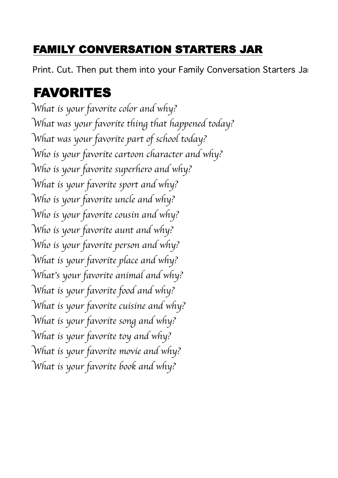#### FAMILY CONVERSATION STARTERS JAR

Print. Cut. Then put them into your Family Conversation Starters Jar.

#### FAVORITES

W*hat is your favorite color and why?* W*hat was your favorite thing that happened today?* W*hat was your favorite part of school today?* W*ho is your favorite cartoon character and why?* W*ho is your favorite superhero and why?* W*hat is your favorite sport and why?* W*ho is your favorite uncle and why?* W*ho is your favorite cousin and why?* W*ho is your favorite aunt and why?* W*ho is your favorite person and why?* W*hat is your favorite place and why?* W*hat*'*s your favorite animal and why?* W*hat is your favorite food and why?* W*hat is your favorite cuisine and why?* W*hat is your favorite song and why?* W*hat is your favorite toy and why?* W*hat is your favorite movie and why?* W*hat is your favorite book and why?*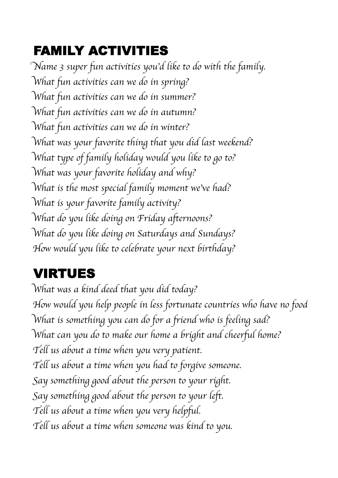# FAMILY ACTIVITIES

N*ame 3 super fun activities you*'*d like to do with the family.* W*hat fun activities can we do in spring?* W*hat fun activities can we do in summer?* W*hat fun activities can we do in autumn?* W*hat fun activities can we do in winter?* W*hat was your favorite thing that you did last weekend?* W*hat type of family holiday would you like to go to?* W*hat was your favorite holiday and why?* W*hat is the most special family moment we*'*ve had?* W*hat is your favorite family activity?* W*hat do you like doing on Friday afternoons?* W*hat do you like doing on Saturdays and Sundays?* H*ow would you like to celebrate your next birthday?*

## VIRTUES

W*hat was a kind deed that you did today?* H*ow would you help people in less fortunate countries who have no food?* W*hat is something you can do for a friend who is feeling sad?* W*hat can you do to make our home a bright and cheerful home?* T*ell us about a time when you very patient.* T*ell us about a time when you had to forgive someone.* S*ay something good about the person to your right.* S*ay something good about the person to your left.* T*ell us about a time when you very helpful.* T*ell us about a time when someone was kind to you.*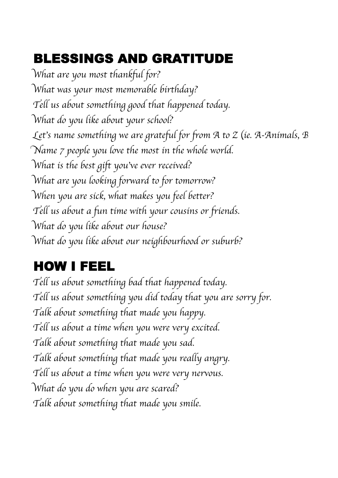### BLESSINGS AND GRATITUDE

W*hat are you most thankful for?* W*hat was your most memorable birthday?* T*ell us about something good that happened today.* W*hat do you like about your school?* Let's name something we are grateful for from A to Z (ie. A-Animals, B N*ame 7 people you love the most in the whole world.* W*hat is the best gift you*'*ve ever received?*  W*hat are you looking forward to for tomorrow?* W*hen you are sick, what makes you feel better?* T*ell us about a fun time with your cousins or friends.* W*hat do you like about our house?* W*hat do you like about our neighbourhood or suburb?*

#### HOW I FEEL

T*ell us about something bad that happened today.* T*ell us about something you did today that you are sorry for.* T*alk about something that made you happy.* T*ell us about a time when you were very excited.* T*alk about something that made you sad.* T*alk about something that made you really angry.* T*ell us about a time when you were very nervous.* W*hat do you do when you are scared?* T*alk about something that made you smile.*